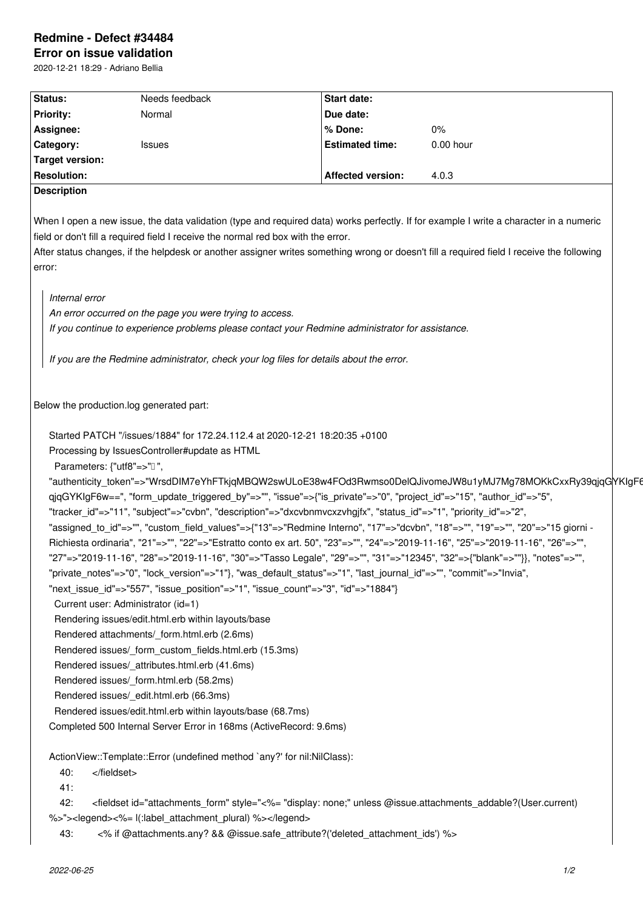# **Redmine - Defect #34484**

**Error on issue validation** 2020-12-21 18:29 - Adriano Bellia

| Status:                   | Needs feedback                                                                                                     | <b>Start date:</b>       |                                                                                                                                                 |
|---------------------------|--------------------------------------------------------------------------------------------------------------------|--------------------------|-------------------------------------------------------------------------------------------------------------------------------------------------|
| <b>Priority:</b>          | Normal                                                                                                             | Due date:                |                                                                                                                                                 |
| Assignee:                 |                                                                                                                    | % Done:                  | 0%                                                                                                                                              |
| Category:                 | <b>Issues</b>                                                                                                      | <b>Estimated time:</b>   | 0.00 hour                                                                                                                                       |
| Target version:           |                                                                                                                    |                          |                                                                                                                                                 |
| <b>Resolution:</b>        |                                                                                                                    | <b>Affected version:</b> | 4.0.3                                                                                                                                           |
| <b>Description</b>        |                                                                                                                    |                          |                                                                                                                                                 |
|                           |                                                                                                                    |                          |                                                                                                                                                 |
|                           | field or don't fill a required field I receive the normal red box with the error.                                  |                          | When I open a new issue, the data validation (type and required data) works perfectly. If for example I write a character in a numeric          |
|                           |                                                                                                                    |                          | After status changes, if the helpdesk or another assigner writes something wrong or doesn't fill a required field I receive the following       |
| error:                    |                                                                                                                    |                          |                                                                                                                                                 |
| Internal error            |                                                                                                                    |                          |                                                                                                                                                 |
|                           | An error occurred on the page you were trying to access.                                                           |                          |                                                                                                                                                 |
|                           | If you continue to experience problems please contact your Redmine administrator for assistance.                   |                          |                                                                                                                                                 |
|                           |                                                                                                                    |                          |                                                                                                                                                 |
|                           | If you are the Redmine administrator, check your log files for details about the error.                            |                          |                                                                                                                                                 |
|                           |                                                                                                                    |                          |                                                                                                                                                 |
|                           |                                                                                                                    |                          |                                                                                                                                                 |
|                           | Below the production.log generated part:                                                                           |                          |                                                                                                                                                 |
|                           |                                                                                                                    |                          |                                                                                                                                                 |
|                           | Started PATCH "/issues/1884" for 172.24.112.4 at 2020-12-21 18:20:35 +0100                                         |                          |                                                                                                                                                 |
|                           | Processing by IssuesController#update as HTML                                                                      |                          |                                                                                                                                                 |
| Parameters: {"utf8"=>"0", |                                                                                                                    |                          |                                                                                                                                                 |
|                           |                                                                                                                    |                          | "authenticity_token"=>"WrsdDIM7eYhFTkjqMBQW2swULoE38w4FOd3Rwmso0DelQJivomeJW8u1yMJ7Mg78MOKkCxxRy39qjqGYKIgF6                                    |
|                           | qjqGYKIgF6w==", "form_update_triggered_by"=>"", "issue"=>{"is_private"=>"0", "project_id"=>"15", "author_id"=>"5", |                          |                                                                                                                                                 |
|                           | "tracker_id"=>"11", "subject"=>"cvbn", "description"=>"dxcvbnmvcxzvhgjfx", "status_id"=>"1", "priority_id"=>"2",   |                          |                                                                                                                                                 |
|                           |                                                                                                                    |                          | "assigned to id"=>"", "custom field values"=>{"13"=>"Redmine Interno", "17"=>"dcvbn", "18"=>"", "19"=>"", "20"=>"15 giorni -                    |
|                           |                                                                                                                    |                          | Richiesta ordinaria", "21"=>"", "22"=>"Estratto conto ex art. 50", "23"=>"", "24"=>"2019-11-16", "25"=>"2019-11-16", "26"=>"",                  |
|                           |                                                                                                                    |                          | "27"=>"2019-11-16", "28"=>"2019-11-16", "30"=>"Tasso Legale", "29"=>"", "31"=>"12345", "32"=>{"blank"=>""}}, "notes"=>"",                       |
|                           | "private_notes"=>"0", "lock_version"=>"1"}, "was_default_status"=>"1", "last_journal_id"=>"", "commit"=>"Invia",   |                          |                                                                                                                                                 |
|                           | "next_issue_id"=>"557", "issue_position"=>"1", "issue_count"=>"3", "id"=>"1884"}                                   |                          |                                                                                                                                                 |
|                           | Current user: Administrator (id=1)                                                                                 |                          |                                                                                                                                                 |
|                           | Rendering issues/edit.html.erb within layouts/base                                                                 |                          |                                                                                                                                                 |
|                           | Rendered attachments/_form.html.erb (2.6ms)                                                                        |                          |                                                                                                                                                 |
|                           | Rendered issues/ form custom fields.html.erb (15.3ms)                                                              |                          |                                                                                                                                                 |
|                           | Rendered issues/ attributes.html.erb (41.6ms)                                                                      |                          |                                                                                                                                                 |
|                           | Rendered issues/_form.html.erb (58.2ms)                                                                            |                          |                                                                                                                                                 |
|                           | Rendered issues/_edit.html.erb (66.3ms)                                                                            |                          |                                                                                                                                                 |
|                           | Rendered issues/edit.html.erb within layouts/base (68.7ms)                                                         |                          |                                                                                                                                                 |
|                           | Completed 500 Internal Server Error in 168ms (ActiveRecord: 9.6ms)                                                 |                          |                                                                                                                                                 |
|                           | ActionView::Template::Error (undefined method `any?' for nil:NilClass):                                            |                          |                                                                                                                                                 |
|                           |                                                                                                                    |                          |                                                                                                                                                 |
| 40:<br>41:                |                                                                                                                    |                          |                                                                                                                                                 |
| 42:                       |                                                                                                                    |                          | <fieldset @issue.attachments_addable?(user.current)<="" display:="" id="attachments_form" none;"="" style="&lt;%= " td="" unless=""></fieldset> |
|                           |                                                                                                                    |                          |                                                                                                                                                 |
|                           | %>"> <legend>&lt;%= l(:label_attachment_plural) %&gt;</legend>                                                     |                          |                                                                                                                                                 |
| 43:                       | <% if @attachments.any? && @issue.safe_attribute?('deleted_attachment_ids') %>                                     |                          |                                                                                                                                                 |